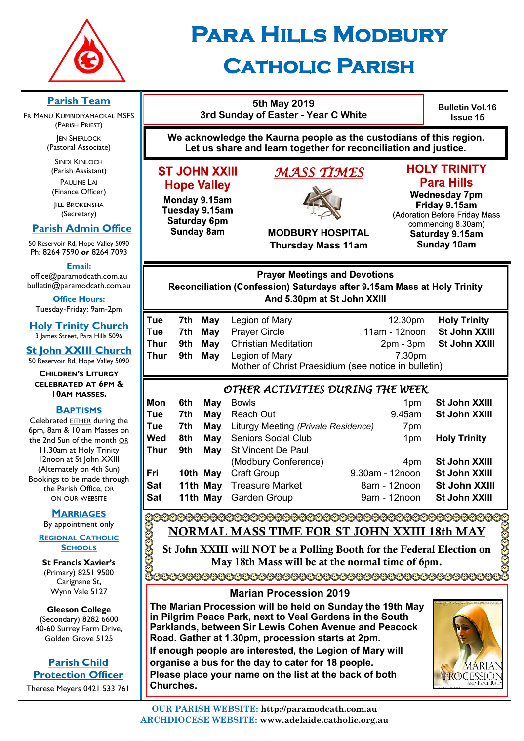

# **Para Hills Modbury**

# **Catholic Parish**

**Parish Team 5th May 2019 Bulletin Vol.16 3rd Sunday of Easter - Year C White** FR MANU KUMBIDIYAMACKAL MSFS **Issue 15** (PARISH PRIEST) **We acknowledge the Kaurna people as the custodians of this region. JEN SHERLOCK** (Pastoral Associate) **Let us share and learn together for reconciliation and justice.** SINDI KINLOCH **HOLY TRINITY** (Parish Assistant) **ST JOHN XXIII** *MASS TIMES*  PAULINE LAI **Para Hills Hope Valley** (Finance Officer) **Wednesday 7pm** Monday 9.15am **IILL BROKENSHA** Friday 9.15am Tuesday 9.15am (Secretary) (Adoration Before Friday Mass Saturday 6pm commencing 8.30am)  **Parish Admin Office Sunday 8am MODBURY HOSPITAL** Saturday 9.15am 50 Reservoir Rd, Hope Valley 5090 **Thursday Mass 11am Sunday 10am** Ph: 8264 7590 *or* 8264 7093 **Email: Prayer Meetings and Devotions** office@paramodcath.com.au bulletin@paramodcath.com.au Reconciliation (Confession) Saturdays after 9.15am Mass at Holy Trinity And 5.30pm at St John XXIII **Office Hours:**  Tuesday-Friday: 9am-2pm **Tue 7th May** Legion of Mary 12.30pm **Holy Trinity Holy Trinity Church Tue 7th May** Prayer Circle 11am - 12noon **St John XXIII** 3 James Street, Para Hills 5096 **Thur** 9th May Christian Meditation 2pm - 3pm St John XXIII **St John XXIII Church Thur 9th May** Legion of Mary 7.30pm 50 Reservoir Rd, Hope Valley 5090 Mother of Christ Praesidium (see notice in bulletin) **CHILDREN'S LITURGY CELEBRATED AT 6PM &**  *OTHER ACTIVITIES DURING THE WEEK*  **10AM MASSES. Mon** 6th May Bowls 1pm 1pm St John XXIII **BAPTISMS Tue 7th May** Reach Out 9.45am **St John XXIII** Celebrated EITHER during the **Tue 7th May** Liturgy Meeting *(Private Residence)* 7pm 6pm, 8am & 10 am Masses on **Wed** 8th May Seniors Social Club 1pm Holy Trinity the 2nd Sun of the month OR **Thur 9th May** St Vincent De Paul 11.30am at Holy Trinity 12noon at St John XXIII (Modbury Conference) 4pm **St John XXIII** (Alternately on 4th Sun) **Fri 10th May** Craft Group 9.30am - 12noon **St John XXIII** Bookings to be made through **Sat 11th May** Treasure Market 8am - 12noon **St John XXIII** the Parish Office, OR **Sat 11th May** Garden Group 9am - 12noon **St John XXIII** ON OUR WEBSITE **MARRIAGES** By appointment only NORMAL MASS TIME FOR ST JOHN XXIII 18th MAY **DOOOOOO REGIONAL CATHOLIC SCHOOLS** St John XXIII will NOT be a Polling Booth for the Federal Election on May 18th Mass will be at the normal time of 6pm.

**St Francis Xavier's**  (Primary) 8251 9500 Carignane St, Wynn Vale 5127

**Gleeson College**  (Secondary) 8282 6600 40-60 Surrey Farm Drive, Golden Grove 5125

**Parish Child Protection Officer** Therese Meyers 0421 533 761

#### **Marian Procession 2019**

**The Marian Procession will be held on Sunday the 19th May in Pilgrim Peace Park, next to Veal Gardens in the South Parklands, between Sir Lewis Cohen Avenue and Peacock Road. Gather at 1.30pm, procession starts at 2pm. If enough people are interested, the Legion of Mary will organise a bus for the day to cater for 18 people. Please place your name on the list at the back of both Churches.** 

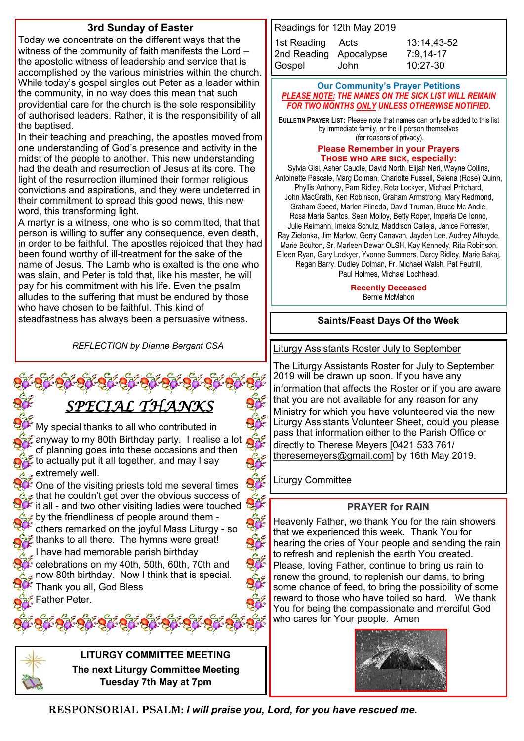#### **3rd Sunday of Easter**

Today we concentrate on the different ways that the witness of the community of faith manifests the Lord – the apostolic witness of leadership and service that is accomplished by the various ministries within the church. While today's gospel singles out Peter as a leader within the community, in no way does this mean that such providential care for the church is the sole responsibility of authorised leaders. Rather, it is the responsibility of all the baptised.

In their teaching and preaching, the apostles moved from one understanding of God's presence and activity in the midst of the people to another. This new understanding had the death and resurrection of Jesus at its core. The light of the resurrection illumined their former religious convictions and aspirations, and they were undeterred in their commitment to spread this good news, this new word, this transforming light.

A martyr is a witness, one who is so committed, that that person is willing to suffer any consequence, even death, in order to be faithful. The apostles rejoiced that they had been found worthy of ill-treatment for the sake of the name of Jesus. The Lamb who is exalted is the one who was slain, and Peter is told that, like his master, he will pay for his commitment with his life. Even the psalm alludes to the suffering that must be endured by those who have chosen to be faithful. This kind of steadfastness has always been a persuasive witness.

*REFLECTION by Dianne Bergant CSA*

# *SPECIAL THANKS*

My special thanks to all who contributed in anyway to my 80th Birthday party. I realise a lot of planning goes into these occasions and then  $\mathcal Z$  to actually put it all together, and may I say extremely well.

 $\stackrel{\leftrightarrow}{\sim}$  One of the visiting priests told me several times  $\epsilon$  that he couldn't get over the obvious success of  $\ast$  it all - and two other visiting ladies were touched  $\approx$  $\epsilon$  by the friendliness of people around them others remarked on the joyful Mass Liturgy - so  $\approx$  thanks to all there. The hymns were great! I have had memorable parish birthday  $\epsilon$  celebrations on mv 40th, 50th, 60th, 70th and

 $\epsilon$  now 80th birthday. Now I think that is special. Thank you all, God Bless

Father Peter.





**LITURGY COMMITTEE MEETING The next Liturgy Committee Meeting Tuesday 7th May at 7pm**

| Readings for 12th May 2019 |      |             |
|----------------------------|------|-------------|
| 1st Reading Acts           |      | 13:14,43-52 |
| 2nd Reading Apocalypse     |      | $7:9,14-17$ |
| Gospel                     | John | 10:27-30    |

#### **Our Community's Prayer Petitions**  *PLEASE NOTE: THE NAMES ON THE SICK LIST WILL REMAIN FOR TWO MONTHS ONLY UNLESS OTHERWISE NOTIFIED.*

**BULLETIN PRAYER LIST:** Please note that names can only be added to this list by immediate family, or the ill person themselves (for reasons of privacy).

#### **Please Remember in your Prayers Those who are sick, especially:**

Sylvia Gisi, Asher Caudle, David North, Elijah Neri, Wayne Collins, Antoinette Pascale, Marg Dolman, Charlotte Fussell, Selena (Rose) Quinn, Phyllis Anthony, Pam Ridley, Reta Lockyer, Michael Pritchard, John MacGrath, Ken Robinson, Graham Armstrong, Mary Redmond, Graham Speed, Marlen Piineda, David Truman, Bruce Mc Andie, Rosa Maria Santos, Sean Molloy, Betty Roper, Imperia De Ionno, Julie Reimann, Imelda Schulz, Maddison Calleja, Janice Forrester, Ray Zielonka, Jim Marlow, Gerry Canavan, Jayden Lee, Audrey Athayde, Marie Boulton, Sr. Marleen Dewar OLSH, Kay Kennedy, Rita Robinson, Eileen Ryan, Gary Lockyer, Yvonne Summers, Darcy Ridley, Marie Bakaj, Regan Barry, Dudley Dolman, Fr. Michael Walsh, Pat Feutrill,

Paul Holmes, Michael Lochhead.

#### **Recently Deceased**

Bernie McMahon

#### **Saints/Feast Days Of the Week**

Liturgy Assistants Roster July to September

The Liturgy Assistants Roster for July to September 2019 will be drawn up soon. If you have any information that affects the Roster or if you are aware that you are not available for any reason for any Ministry for which you have volunteered via the new Liturgy Assistants Volunteer Sheet, could you please pass that information either to the Parish Office or directly to Therese Meyers [0421 533 761/ [theresemeyers@gmail.com\]](mailto:theresemeyers@gmail.com) by 16th May 2019.

Liturgy Committee

#### **PRAYER for RAIN**

Heavenly Father, we thank You for the rain showers that we experienced this week. Thank You for hearing the cries of Your people and sending the rain to refresh and replenish the earth You created. Please, loving Father, continue to bring us rain to renew the ground, to replenish our dams, to bring some chance of feed, to bring the possibility of some reward to those who have toiled so hard. We thank You for being the compassionate and merciful God who cares for Your people. Amen



**RESPONSORIAL PSALM:** *I will praise you, Lord, for you have rescued me.*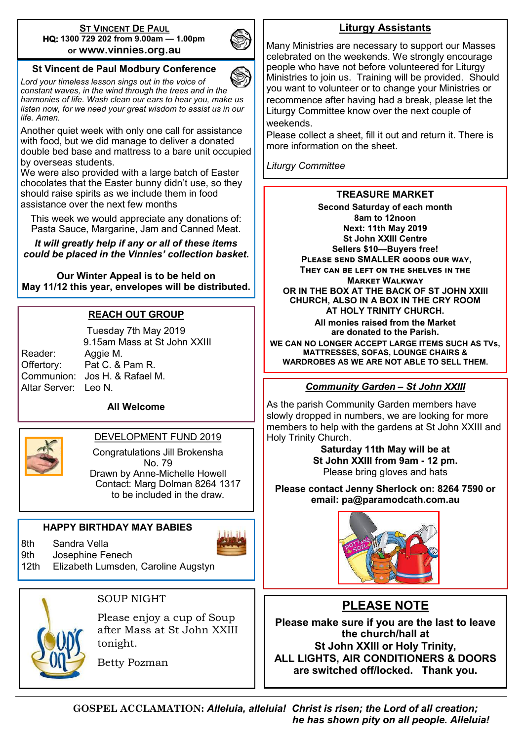#### **ST VINCENT DE PAUL HQ: 1300 729 202 from 9.00am — 1.00pm or www.vinnies.org.au**



#### **St Vincent de Paul Modbury Conference**

*Lord your timeless lesson sings out in the voice of constant waves, in the wind through the trees and in the harmonies of life. Wash clean our ears to hear you, make us listen now, for we need your great wisdom to assist us in our life. Amen.*

Another quiet week with only one call for assistance with food, but we did manage to deliver a donated double bed base and mattress to a bare unit occupied by overseas students.

We were also provided with a large batch of Easter chocolates that the Easter bunny didn't use, so they should raise spirits as we include them in food assistance over the next few months

This week we would appreciate any donations of: Pasta Sauce, Margarine, Jam and Canned Meat.

*It will greatly help if any or all of these items could be placed in the Vinnies' collection basket.*

**Our Winter Appeal is to be held on May 11/12 this year, envelopes will be distributed.**

#### **REACH OUT GROUP**

Tuesday 7th May 2019 9.15am Mass at St John XXIII Reader: Aggie M. Offertory: Pat C. & Pam R. Communion: Jos H. & Rafael M. Altar Server: Leo N.

#### **All Welcome**



#### DEVELOPMENT FUND 2019

Congratulations Jill Brokensha No. 79 Drawn by Anne-Michelle Howell Contact: Marg Dolman 8264 1317 to be included in the draw.

#### **HAPPY BIRTHDAY MAY BABIES**

8th Sandra Vella



9th Josephine Fenech

12th Elizabeth Lumsden, Caroline Augstyn



#### SOUP NIGHT

Please enjoy a cup of Soup after Mass at St John XXIII tonight.

Betty Pozman

## **Liturgy Assistants**

Many Ministries are necessary to support our Masses celebrated on the weekends. We strongly encourage people who have not before volunteered for Liturgy Ministries to join us. Training will be provided. Should you want to volunteer or to change your Ministries or recommence after having had a break, please let the Liturgy Committee know over the next couple of weekends.

Please collect a sheet, fill it out and return it. There is more information on the sheet.

*Liturgy Committee*

#### **TREASURE MARKET**

**Second Saturday of each month 8am to 12noon Next: 11th May 2019 St John XXIII Centre Sellers \$10—Buyers free! Please send SMALLER goods our way, They can be left on the shelves in the Market Walkway OR IN THE BOX AT THE BACK OF ST JOHN XXIII CHURCH, ALSO IN A BOX IN THE CRY ROOM AT HOLY TRINITY CHURCH. { All monies raised from the Market are donated to the Parish. WE CAN NO LONGER ACCEPT LARGE ITEMS SUCH AS TVs, MATTRESSES, SOFAS, LOUNGE CHAIRS & WARDROBES AS WE ARE NOT ABLE TO SELL THEM.**

#### *Community Garden – St John XXIII*

As the parish Community Garden members have slowly dropped in numbers, we are looking for more members to help with the gardens at St John XXIII and Holy Trinity Church.

**Saturday 11th May will be at St John XXIII from 9am - 12 pm.** Please bring gloves and hats

**Please contact Jenny Sherlock on: 8264 7590 or email: pa@paramodcath.com.au**



## **PLEASE NOTE**

**Please make sure if you are the last to leave the church/hall at St John XXIII or Holy Trinity, ALL LIGHTS, AIR CONDITIONERS & DOORS are switched off/locked. Thank you.**

**GOSPEL ACCLAMATION:** *Alleluia, alleluia! Christ is risen; the Lord of all creation; he has shown pity on all people. Alleluia!*